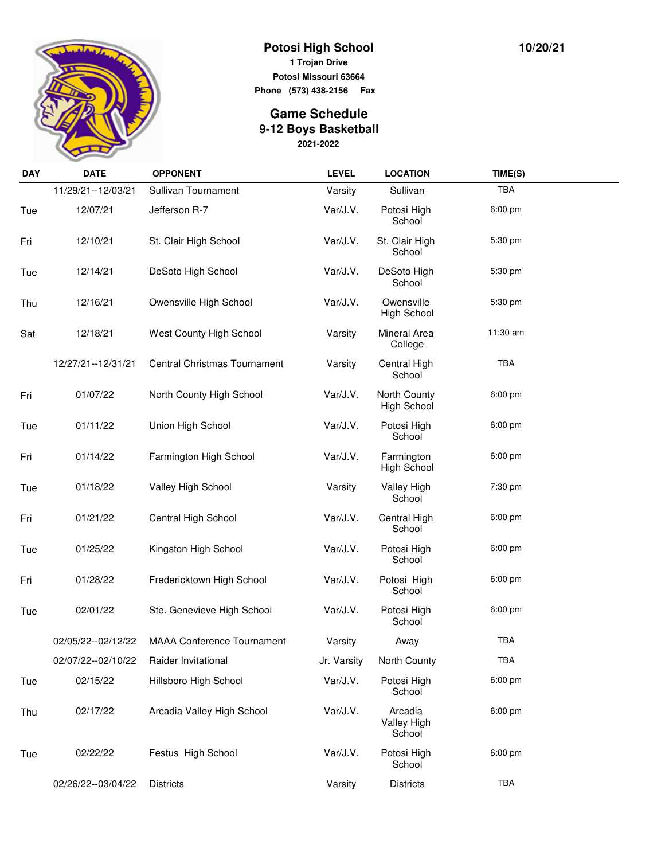

## **Potosi High School 1 Trojan Drive Potosi Missouri 63664**

**Phone (573) 438-2156 Fax** 

## **2021-2022 Game Schedule 9-12 Boys Basketball**

| <b>DAY</b> | <b>DATE</b>          | <b>OPPONENT</b>                     | <b>LEVEL</b> | <b>LOCATION</b>                    | TIME(S)    |  |
|------------|----------------------|-------------------------------------|--------------|------------------------------------|------------|--|
|            | 11/29/21--12/03/21   | Sullivan Tournament                 | Varsity      | Sullivan                           | <b>TBA</b> |  |
| Tue        | 12/07/21             | Jefferson R-7                       | Var/J.V.     | Potosi High<br>School              | 6:00 pm    |  |
| Fri        | 12/10/21             | St. Clair High School               | Var/J.V.     | St. Clair High<br>School           | 5:30 pm    |  |
| Tue        | 12/14/21             | DeSoto High School                  | Var/J.V.     | DeSoto High<br>School              | 5:30 pm    |  |
| Thu        | 12/16/21             | Owensville High School              | Var/J.V.     | Owensville<br>High School          | 5:30 pm    |  |
| Sat        | 12/18/21             | West County High School             | Varsity      | Mineral Area<br>College            | 11:30 am   |  |
|            | 12/27/21--12/31/21   | <b>Central Christmas Tournament</b> | Varsity      | Central High<br>School             | TBA        |  |
| Fri        | 01/07/22             | North County High School            | Var/J.V.     | North County<br><b>High School</b> | 6:00 pm    |  |
| Tue        | 01/11/22             | Union High School                   | Var/J.V.     | Potosi High<br>School              | $6:00$ pm  |  |
| Fri        | 01/14/22             | Farmington High School              | Var/J.V.     | Farmington<br><b>High School</b>   | $6:00$ pm  |  |
| Tue        | 01/18/22             | Valley High School                  | Varsity      | <b>Valley High</b><br>School       | 7:30 pm    |  |
| Fri        | 01/21/22             | Central High School                 | Var/J.V.     | Central High<br>School             | $6:00$ pm  |  |
| Tue        | 01/25/22             | Kingston High School                | Var/J.V.     | Potosi High<br>School              | $6:00$ pm  |  |
| Fri        | 01/28/22             | Fredericktown High School           | Var/J.V.     | Potosi High<br>School              | 6:00 pm    |  |
| Tue        | 02/01/22             | Ste. Genevieve High School          | Var/J.V.     | Potosi High<br>School              | $6:00$ pm  |  |
|            | 02/05/22--02/12/22   | <b>MAAA Conference Tournament</b>   | Varsity      | Away                               | TBA        |  |
|            | 02/07/22 -- 02/10/22 | Raider Invitational                 | Jr. Varsity  | North County                       | <b>TBA</b> |  |
| Tue        | 02/15/22             | Hillsboro High School               | Var/J.V.     | Potosi High<br>School              | 6:00 pm    |  |
| Thu        | 02/17/22             | Arcadia Valley High School          | Var/J.V.     | Arcadia<br>Valley High<br>School   | 6:00 pm    |  |
| Tue        | 02/22/22             | Festus High School                  | Var/J.V.     | Potosi High<br>School              | 6:00 pm    |  |
|            | 02/26/22--03/04/22   | <b>Districts</b>                    | Varsity      | <b>Districts</b>                   | TBA        |  |